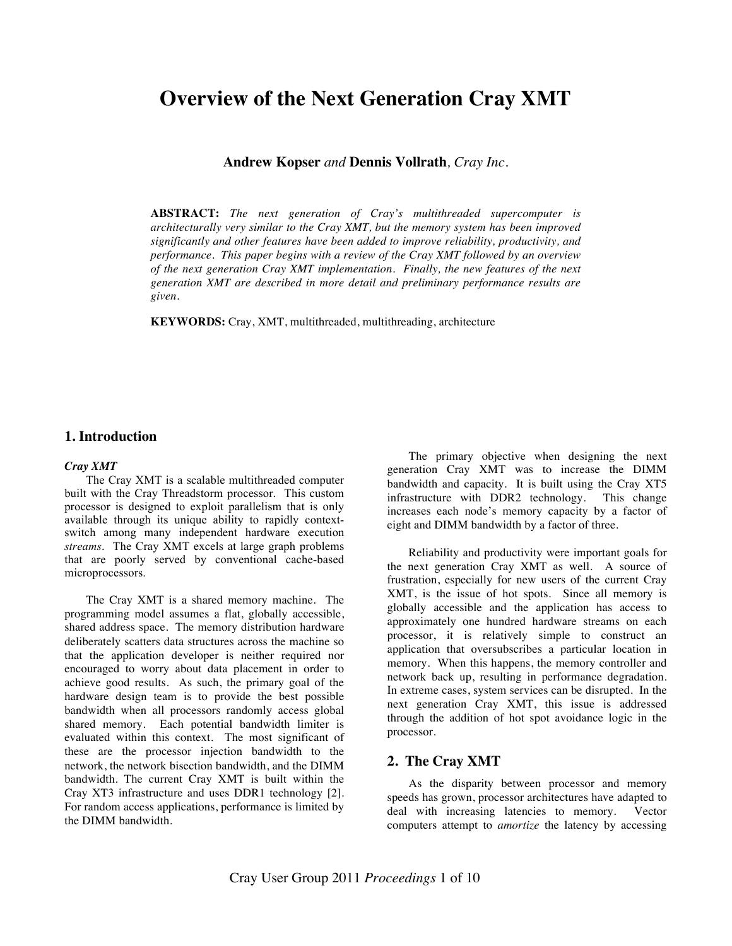# **Overview of the Next Generation Cray XMT**

**Andrew Kopser** *and* **Dennis Vollrath***, Cray Inc.*

**ABSTRACT:** *The next generation of Cray's multithreaded supercomputer is architecturally very similar to the Cray XMT, but the memory system has been improved significantly and other features have been added to improve reliability, productivity, and performance. This paper begins with a review of the Cray XMT followed by an overview of the next generation Cray XMT implementation. Finally, the new features of the next generation XMT are described in more detail and preliminary performance results are given.*

**KEYWORDS:** Cray, XMT, multithreaded, multithreading, architecture

# **1. Introduction**

## *Cray XMT*

The Cray XMT is a scalable multithreaded computer built with the Cray Threadstorm processor. This custom processor is designed to exploit parallelism that is only available through its unique ability to rapidly contextswitch among many independent hardware execution *streams*. The Cray XMT excels at large graph problems that are poorly served by conventional cache-based microprocessors.

The Cray XMT is a shared memory machine. The programming model assumes a flat, globally accessible, shared address space. The memory distribution hardware deliberately scatters data structures across the machine so that the application developer is neither required nor encouraged to worry about data placement in order to achieve good results. As such, the primary goal of the hardware design team is to provide the best possible bandwidth when all processors randomly access global shared memory. Each potential bandwidth limiter is evaluated within this context. The most significant of these are the processor injection bandwidth to the network, the network bisection bandwidth, and the DIMM bandwidth. The current Cray XMT is built within the Cray XT3 infrastructure and uses DDR1 technology [2]. For random access applications, performance is limited by the DIMM bandwidth.

The primary objective when designing the next generation Cray XMT was to increase the DIMM bandwidth and capacity. It is built using the Cray XT5 infrastructure with DDR2 technology. This change increases each node's memory capacity by a factor of eight and DIMM bandwidth by a factor of three.

Reliability and productivity were important goals for the next generation Cray XMT as well. A source of frustration, especially for new users of the current Cray XMT, is the issue of hot spots. Since all memory is globally accessible and the application has access to approximately one hundred hardware streams on each processor, it is relatively simple to construct an application that oversubscribes a particular location in memory. When this happens, the memory controller and network back up, resulting in performance degradation. In extreme cases, system services can be disrupted. In the next generation Cray XMT, this issue is addressed through the addition of hot spot avoidance logic in the processor.

# **2. The Cray XMT**

As the disparity between processor and memory speeds has grown, processor architectures have adapted to deal with increasing latencies to memory. Vector computers attempt to *amortize* the latency by accessing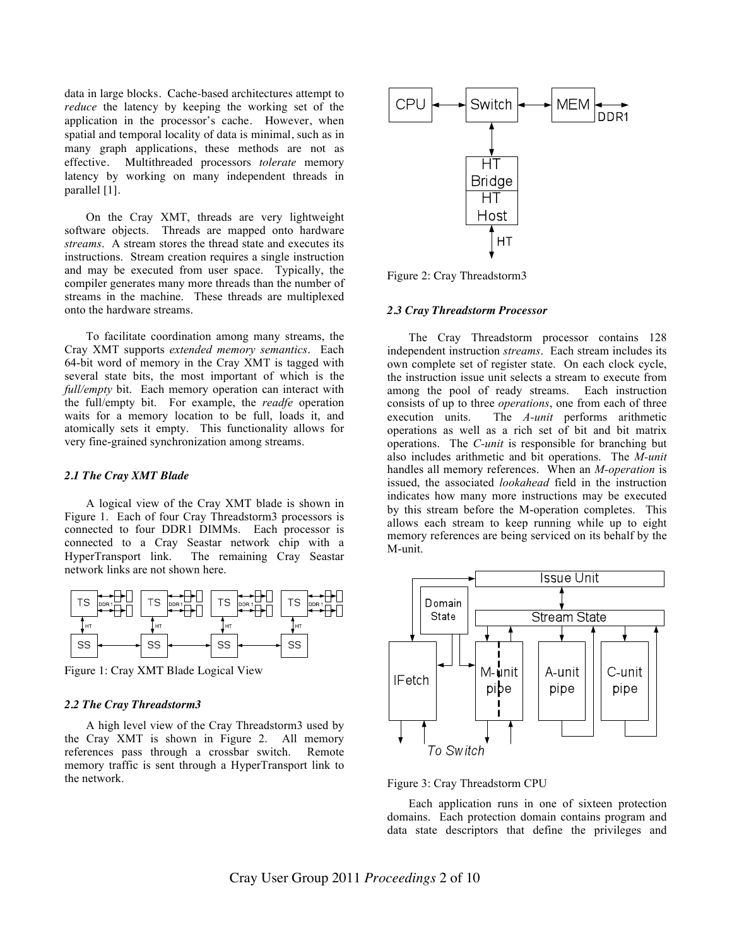data in large blocks. Cache-based architectures attempt to *reduce* the latency by keeping the working set of the application in the processor's cache. However, when spatial and temporal locality of data is minimal, such as in many graph applications, these methods are not as effective. Multithreaded processors *tolerate* memory latency by working on many independent threads in parallel [1].

On the Cray XMT, threads are very lightweight software objects. Threads are mapped onto hardware *streams*. A stream stores the thread state and executes its instructions. Stream creation requires a single instruction and may be executed from user space. Typically, the compiler generates many more threads than the number of streams in the machine. These threads are multiplexed onto the hardware streams.

To facilitate coordination among many streams, the Cray XMT supports *extended memory semantics*. Each 64-bit word of memory in the Cray XMT is tagged with several state bits, the most important of which is the *full/empty* bit. Each memory operation can interact with the full/empty bit. For example, the *readfe* operation waits for a memory location to be full, loads it, and atomically sets it empty. This functionality allows for very fine-grained synchronization among streams.

## *2.1 The Cray XMT Blade*

A logical view of the Cray XMT blade is shown in Figure 1. Each of four Cray Threadstorm3 processors is connected to four DDR1 DIMMs. Each processor is connected to a Cray Seastar network chip with a HyperTransport link. The remaining Cray Seastar network links are not shown here.



Figure 1: Cray XMT Blade Logical View

#### *2.2 The Cray Threadstorm3*

A high level view of the Cray Threadstorm3 used by the Cray XMT is shown in Figure 2. All memory references pass through a crossbar switch. Remote memory traffic is sent through a HyperTransport link to the network.



Figure 2: Cray Threadstorm3

#### *2.3 Cray Threadstorm Processor*

The Cray Threadstorm processor contains 128 independent instruction *streams*. Each stream includes its own complete set of register state. On each clock cycle, the instruction issue unit selects a stream to execute from among the pool of ready streams. Each instruction consists of up to three *operations*, one from each of three execution units. The *A-unit* performs arithmetic operations as well as a rich set of bit and bit matrix operations. The *C-unit* is responsible for branching but also includes arithmetic and bit operations. The *M-unit* handles all memory references. When an *M-operation* is issued, the associated *lookahead* field in the instruction indicates how many more instructions may be executed by this stream before the M-operation completes. This allows each stream to keep running while up to eight memory references are being serviced on its behalf by the M-unit.



Figure 3: Cray Threadstorm CPU

Each application runs in one of sixteen protection domains. Each protection domain contains program and data state descriptors that define the privileges and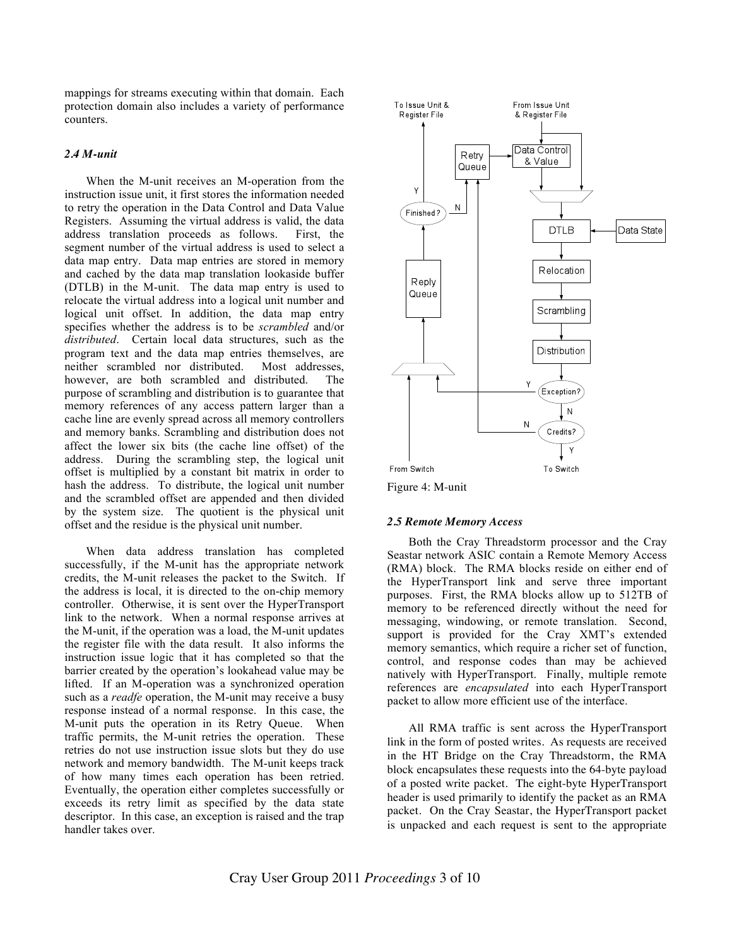mappings for streams executing within that domain. Each protection domain also includes a variety of performance counters.

## *2.4 M-unit*

When the M-unit receives an M-operation from the instruction issue unit, it first stores the information needed to retry the operation in the Data Control and Data Value Registers. Assuming the virtual address is valid, the data address translation proceeds as follows. First, the segment number of the virtual address is used to select a data map entry. Data map entries are stored in memory and cached by the data map translation lookaside buffer (DTLB) in the M-unit. The data map entry is used to relocate the virtual address into a logical unit number and logical unit offset. In addition, the data map entry specifies whether the address is to be *scrambled* and/or *distributed*. Certain local data structures, such as the program text and the data map entries themselves, are neither scrambled nor distributed. Most addresses, however, are both scrambled and distributed. The purpose of scrambling and distribution is to guarantee that memory references of any access pattern larger than a cache line are evenly spread across all memory controllers and memory banks. Scrambling and distribution does not affect the lower six bits (the cache line offset) of the address. During the scrambling step, the logical unit offset is multiplied by a constant bit matrix in order to hash the address. To distribute, the logical unit number and the scrambled offset are appended and then divided by the system size. The quotient is the physical unit offset and the residue is the physical unit number.

When data address translation has completed successfully, if the M-unit has the appropriate network credits, the M-unit releases the packet to the Switch. If the address is local, it is directed to the on-chip memory controller. Otherwise, it is sent over the HyperTransport link to the network. When a normal response arrives at the M-unit, if the operation was a load, the M-unit updates the register file with the data result. It also informs the instruction issue logic that it has completed so that the barrier created by the operation's lookahead value may be lifted. If an M-operation was a synchronized operation such as a *readfe* operation, the M-unit may receive a busy response instead of a normal response. In this case, the M-unit puts the operation in its Retry Queue. When traffic permits, the M-unit retries the operation. These retries do not use instruction issue slots but they do use network and memory bandwidth. The M-unit keeps track of how many times each operation has been retried. Eventually, the operation either completes successfully or exceeds its retry limit as specified by the data state descriptor. In this case, an exception is raised and the trap handler takes over.



Figure 4: M-unit

#### *2.5 Remote Memory Access*

Both the Cray Threadstorm processor and the Cray Seastar network ASIC contain a Remote Memory Access (RMA) block. The RMA blocks reside on either end of the HyperTransport link and serve three important purposes. First, the RMA blocks allow up to 512TB of memory to be referenced directly without the need for messaging, windowing, or remote translation. Second, support is provided for the Cray XMT's extended memory semantics, which require a richer set of function, control, and response codes than may be achieved natively with HyperTransport. Finally, multiple remote references are *encapsulated* into each HyperTransport packet to allow more efficient use of the interface.

All RMA traffic is sent across the HyperTransport link in the form of posted writes. As requests are received in the HT Bridge on the Cray Threadstorm, the RMA block encapsulates these requests into the 64-byte payload of a posted write packet. The eight-byte HyperTransport header is used primarily to identify the packet as an RMA packet. On the Cray Seastar, the HyperTransport packet is unpacked and each request is sent to the appropriate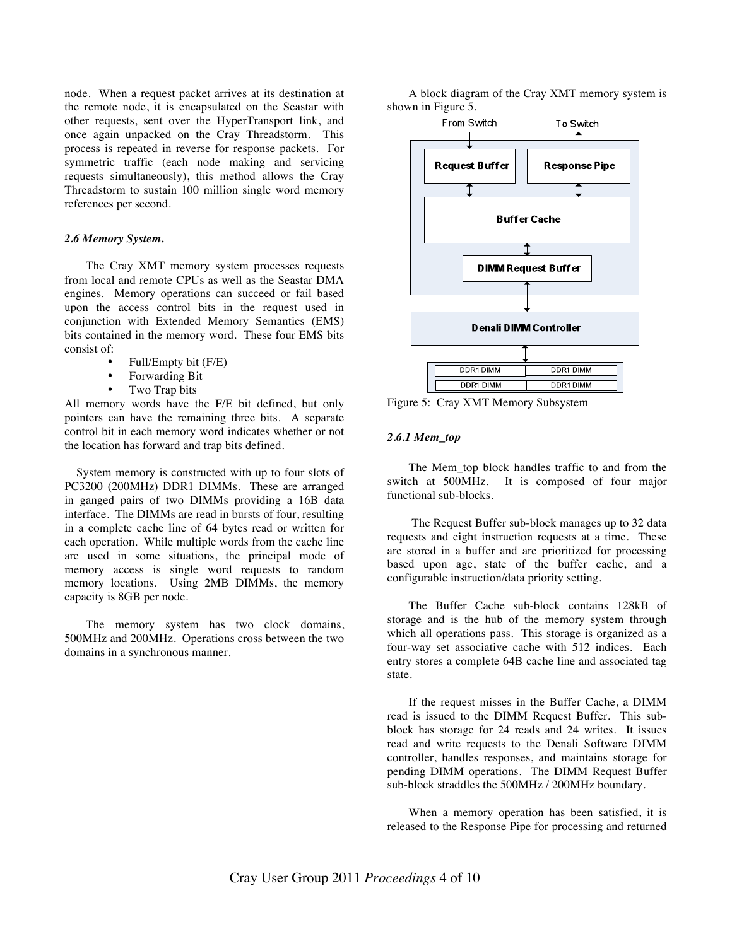node. When a request packet arrives at its destination at the remote node, it is encapsulated on the Seastar with other requests, sent over the HyperTransport link, and once again unpacked on the Cray Threadstorm. This process is repeated in reverse for response packets. For symmetric traffic (each node making and servicing requests simultaneously), this method allows the Cray Threadstorm to sustain 100 million single word memory references per second.

## *2.6 Memory System.*

The Cray XMT memory system processes requests from local and remote CPUs as well as the Seastar DMA engines. Memory operations can succeed or fail based upon the access control bits in the request used in conjunction with Extended Memory Semantics (EMS) bits contained in the memory word. These four EMS bits consist of:

- Full/Empty bit (F/E)
- Forwarding Bit<br>• Two Trap bits
- Two Trap bits

All memory words have the F/E bit defined, but only pointers can have the remaining three bits. A separate control bit in each memory word indicates whether or not the location has forward and trap bits defined.

 System memory is constructed with up to four slots of PC3200 (200MHz) DDR1 DIMMs. These are arranged in ganged pairs of two DIMMs providing a 16B data interface. The DIMMs are read in bursts of four, resulting in a complete cache line of 64 bytes read or written for each operation. While multiple words from the cache line are used in some situations, the principal mode of memory access is single word requests to random memory locations. Using 2MB DIMMs, the memory capacity is 8GB per node.

The memory system has two clock domains, 500MHz and 200MHz. Operations cross between the two domains in a synchronous manner.

A block diagram of the Cray XMT memory system is shown in Figure 5.



Figure 5: Cray XMT Memory Subsystem

## *2.6.1 Mem\_top*

The Mem top block handles traffic to and from the switch at 500MHz. It is composed of four major functional sub-blocks.

 The Request Buffer sub-block manages up to 32 data requests and eight instruction requests at a time. These are stored in a buffer and are prioritized for processing based upon age, state of the buffer cache, and a configurable instruction/data priority setting.

The Buffer Cache sub-block contains 128kB of storage and is the hub of the memory system through which all operations pass. This storage is organized as a four-way set associative cache with 512 indices. Each entry stores a complete 64B cache line and associated tag state.

If the request misses in the Buffer Cache, a DIMM read is issued to the DIMM Request Buffer. This subblock has storage for 24 reads and 24 writes. It issues read and write requests to the Denali Software DIMM controller, handles responses, and maintains storage for pending DIMM operations. The DIMM Request Buffer sub-block straddles the 500MHz / 200MHz boundary.

When a memory operation has been satisfied, it is released to the Response Pipe for processing and returned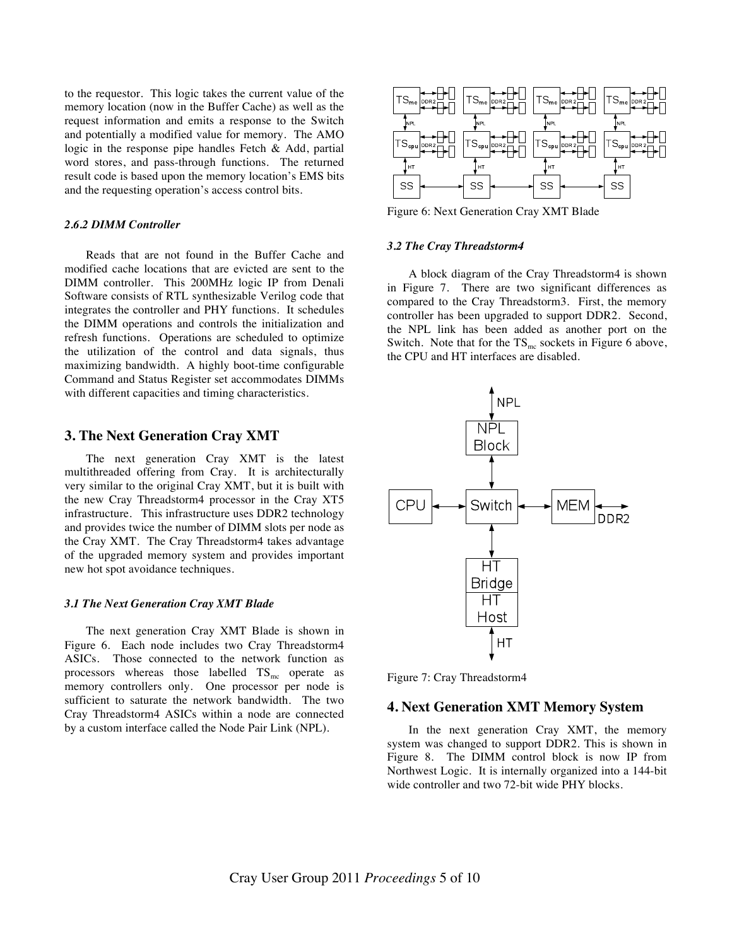to the requestor. This logic takes the current value of the memory location (now in the Buffer Cache) as well as the request information and emits a response to the Switch and potentially a modified value for memory. The AMO logic in the response pipe handles Fetch & Add, partial word stores, and pass-through functions. The returned result code is based upon the memory location's EMS bits and the requesting operation's access control bits.

## *2.6.2 DIMM Controller*

Reads that are not found in the Buffer Cache and modified cache locations that are evicted are sent to the DIMM controller. This 200MHz logic IP from Denali Software consists of RTL synthesizable Verilog code that integrates the controller and PHY functions. It schedules the DIMM operations and controls the initialization and refresh functions. Operations are scheduled to optimize the utilization of the control and data signals, thus maximizing bandwidth. A highly boot-time configurable Command and Status Register set accommodates DIMMs with different capacities and timing characteristics.

## **3. The Next Generation Cray XMT**

The next generation Cray XMT is the latest multithreaded offering from Cray. It is architecturally very similar to the original Cray XMT, but it is built with the new Cray Threadstorm4 processor in the Cray XT5 infrastructure. This infrastructure uses DDR2 technology and provides twice the number of DIMM slots per node as the Cray XMT. The Cray Threadstorm4 takes advantage of the upgraded memory system and provides important new hot spot avoidance techniques.

## *3.1 The Next Generation Cray XMT Blade*

The next generation Cray XMT Blade is shown in Figure 6. Each node includes two Cray Threadstorm4 ASICs. Those connected to the network function as processors whereas those labelled  $TS_{mc}$  operate as memory controllers only. One processor per node is sufficient to saturate the network bandwidth. The two Cray Threadstorm4 ASICs within a node are connected by a custom interface called the Node Pair Link (NPL).



Figure 6: Next Generation Cray XMT Blade

#### *3.2 The Cray Threadstorm4*

A block diagram of the Cray Threadstorm4 is shown in Figure 7. There are two significant differences as compared to the Cray Threadstorm3. First, the memory controller has been upgraded to support DDR2. Second, the NPL link has been added as another port on the Switch. Note that for the  $TS<sub>mc</sub>$  sockets in Figure 6 above, the CPU and HT interfaces are disabled.



Figure 7: Cray Threadstorm4

## **4. Next Generation XMT Memory System**

In the next generation Cray XMT, the memory system was changed to support DDR2. This is shown in Figure 8. The DIMM control block is now IP from Northwest Logic. It is internally organized into a 144-bit wide controller and two 72-bit wide PHY blocks.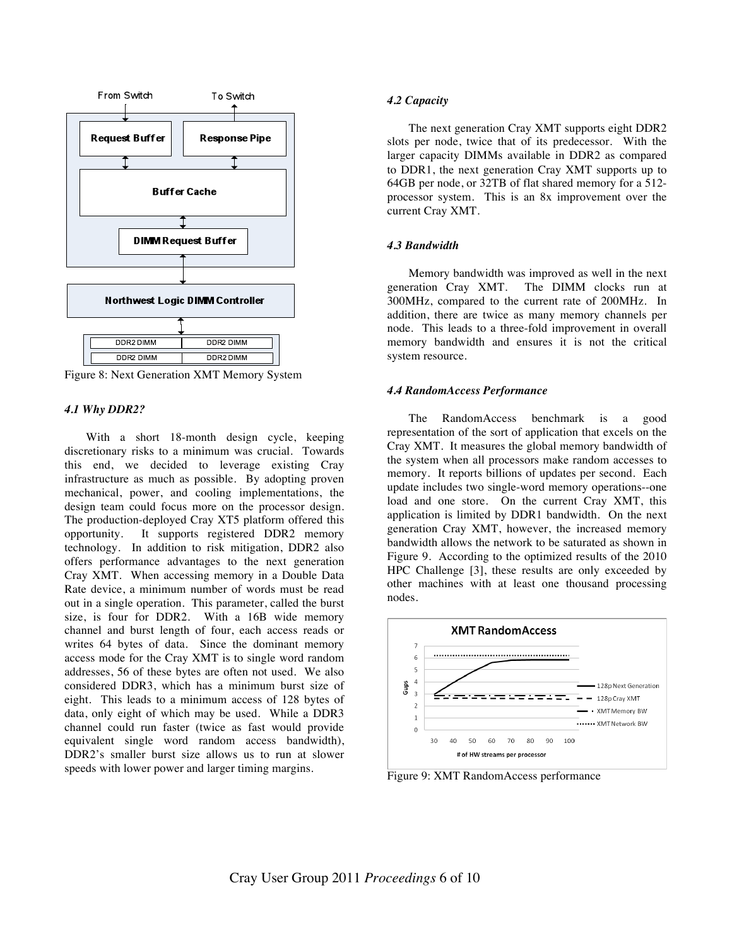

Figure 8: Next Generation XMT Memory System

#### *4.1 Why DDR2?*

With a short 18-month design cycle, keeping discretionary risks to a minimum was crucial. Towards this end, we decided to leverage existing Cray infrastructure as much as possible. By adopting proven mechanical, power, and cooling implementations, the design team could focus more on the processor design. The production-deployed Cray XT5 platform offered this opportunity. It supports registered DDR2 memory technology. In addition to risk mitigation, DDR2 also offers performance advantages to the next generation Cray XMT. When accessing memory in a Double Data Rate device, a minimum number of words must be read out in a single operation. This parameter, called the burst size, is four for DDR2. With a 16B wide memory channel and burst length of four, each access reads or writes 64 bytes of data. Since the dominant memory access mode for the Cray XMT is to single word random addresses, 56 of these bytes are often not used. We also considered DDR3, which has a minimum burst size of eight. This leads to a minimum access of 128 bytes of data, only eight of which may be used. While a DDR3 channel could run faster (twice as fast would provide equivalent single word random access bandwidth), DDR2's smaller burst size allows us to run at slower speeds with lower power and larger timing margins.

#### *4.2 Capacity*

The next generation Cray XMT supports eight DDR2 slots per node, twice that of its predecessor. With the larger capacity DIMMs available in DDR2 as compared to DDR1, the next generation Cray XMT supports up to 64GB per node, or 32TB of flat shared memory for a 512 processor system. This is an 8x improvement over the current Cray XMT.

## *4.3 Bandwidth*

Memory bandwidth was improved as well in the next generation Cray XMT. The DIMM clocks run at 300MHz, compared to the current rate of 200MHz. In addition, there are twice as many memory channels per node. This leads to a three-fold improvement in overall memory bandwidth and ensures it is not the critical system resource.

#### *4.4 RandomAccess Performance*

The RandomAccess benchmark is a good representation of the sort of application that excels on the Cray XMT. It measures the global memory bandwidth of the system when all processors make random accesses to memory. It reports billions of updates per second. Each update includes two single-word memory operations--one load and one store. On the current Cray XMT, this application is limited by DDR1 bandwidth. On the next generation Cray XMT, however, the increased memory bandwidth allows the network to be saturated as shown in Figure 9. According to the optimized results of the 2010 HPC Challenge [3], these results are only exceeded by other machines with at least one thousand processing nodes.



Figure 9: XMT RandomAccess performance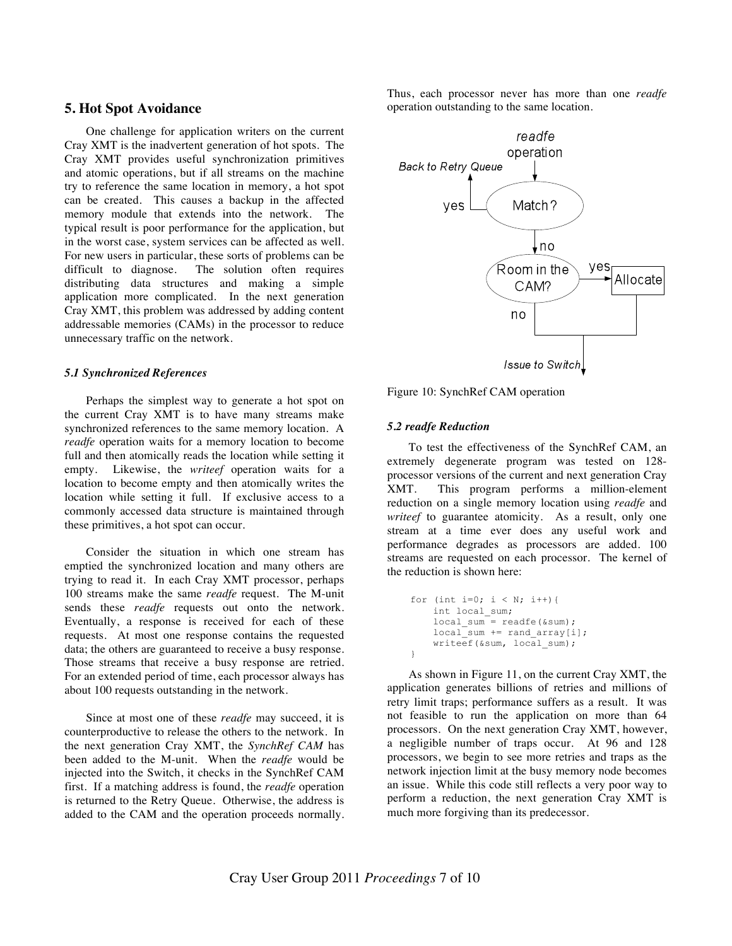## **5. Hot Spot Avoidance**

One challenge for application writers on the current Cray XMT is the inadvertent generation of hot spots. The Cray XMT provides useful synchronization primitives and atomic operations, but if all streams on the machine try to reference the same location in memory, a hot spot can be created. This causes a backup in the affected memory module that extends into the network. The typical result is poor performance for the application, but in the worst case, system services can be affected as well. For new users in particular, these sorts of problems can be difficult to diagnose. The solution often requires distributing data structures and making a simple application more complicated. In the next generation Cray XMT, this problem was addressed by adding content addressable memories (CAMs) in the processor to reduce unnecessary traffic on the network.

## *5.1 Synchronized References*

Perhaps the simplest way to generate a hot spot on the current Cray XMT is to have many streams make synchronized references to the same memory location. A *readfe* operation waits for a memory location to become full and then atomically reads the location while setting it empty. Likewise, the *writeef* operation waits for a location to become empty and then atomically writes the location while setting it full. If exclusive access to a commonly accessed data structure is maintained through these primitives, a hot spot can occur.

Consider the situation in which one stream has emptied the synchronized location and many others are trying to read it. In each Cray XMT processor, perhaps 100 streams make the same *readfe* request. The M-unit sends these *readfe* requests out onto the network. Eventually, a response is received for each of these requests. At most one response contains the requested data; the others are guaranteed to receive a busy response. Those streams that receive a busy response are retried. For an extended period of time, each processor always has about 100 requests outstanding in the network.

Since at most one of these *readfe* may succeed, it is counterproductive to release the others to the network. In the next generation Cray XMT, the *SynchRef CAM* has been added to the M-unit. When the *readfe* would be injected into the Switch, it checks in the SynchRef CAM first. If a matching address is found, the *readfe* operation is returned to the Retry Queue. Otherwise, the address is added to the CAM and the operation proceeds normally. Thus, each processor never has more than one *readfe* operation outstanding to the same location.



Figure 10: SynchRef CAM operation

## *5.2 readfe Reduction*

}

To test the effectiveness of the SynchRef CAM, an extremely degenerate program was tested on 128 processor versions of the current and next generation Cray XMT. This program performs a million-element reduction on a single memory location using *readfe* and *writeef* to guarantee atomicity. As a result, only one stream at a time ever does any useful work and performance degrades as processors are added. 100 streams are requested on each processor. The kernel of the reduction is shown here:

```
for (int i=0; i < N; i++) {
     int local_sum;
    local sum = readfe(&sum);
    local sum += rand array[i];
    writeef(\&sum, local sum);
```
As shown in Figure 11, on the current Cray XMT, the application generates billions of retries and millions of retry limit traps; performance suffers as a result. It was not feasible to run the application on more than 64 processors. On the next generation Cray XMT, however, a negligible number of traps occur. At 96 and 128 processors, we begin to see more retries and traps as the network injection limit at the busy memory node becomes an issue. While this code still reflects a very poor way to perform a reduction, the next generation Cray XMT is much more forgiving than its predecessor.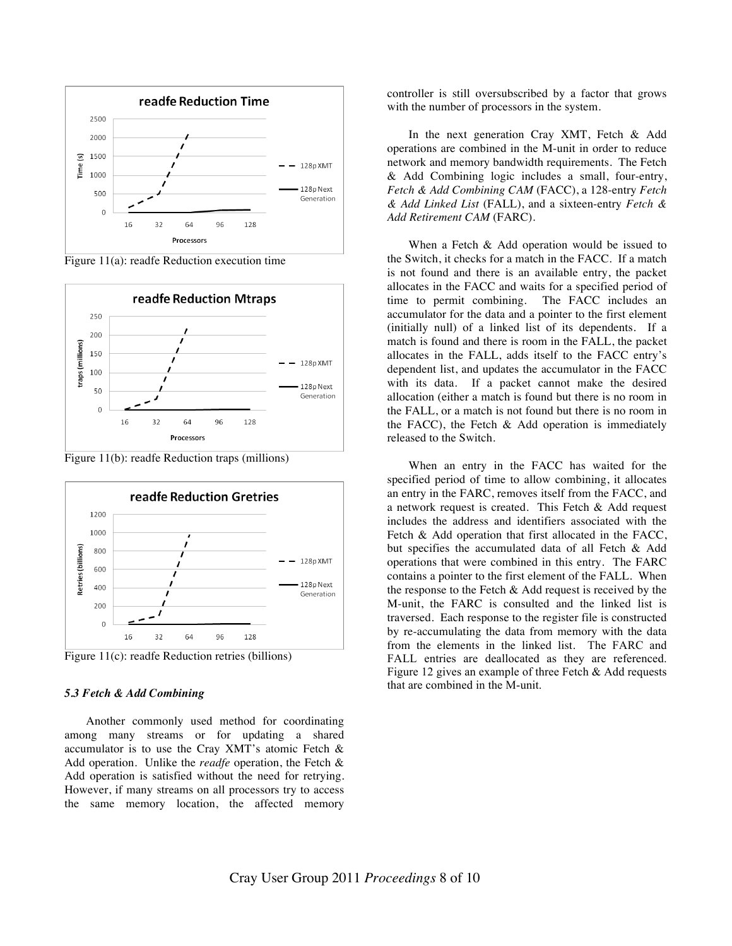

Figure 11(a): readfe Reduction execution time



Figure 11(b): readfe Reduction traps (millions)



Figure 11(c): readfe Reduction retries (billions)

## *5.3 Fetch & Add Combining*

Another commonly used method for coordinating among many streams or for updating a shared accumulator is to use the Cray XMT's atomic Fetch & Add operation. Unlike the *readfe* operation, the Fetch & Add operation is satisfied without the need for retrying. However, if many streams on all processors try to access the same memory location, the affected memory controller is still oversubscribed by a factor that grows with the number of processors in the system.

In the next generation Cray XMT, Fetch & Add operations are combined in the M-unit in order to reduce network and memory bandwidth requirements. The Fetch & Add Combining logic includes a small, four-entry, *Fetch & Add Combining CAM* (FACC), a 128-entry *Fetch & Add Linked List* (FALL), and a sixteen-entry *Fetch & Add Retirement CAM* (FARC).

When a Fetch & Add operation would be issued to the Switch, it checks for a match in the FACC. If a match is not found and there is an available entry, the packet allocates in the FACC and waits for a specified period of time to permit combining. The FACC includes an accumulator for the data and a pointer to the first element (initially null) of a linked list of its dependents. If a match is found and there is room in the FALL, the packet allocates in the FALL, adds itself to the FACC entry's dependent list, and updates the accumulator in the FACC with its data. If a packet cannot make the desired allocation (either a match is found but there is no room in the FALL, or a match is not found but there is no room in the FACC), the Fetch  $\&$  Add operation is immediately released to the Switch.

When an entry in the FACC has waited for the specified period of time to allow combining, it allocates an entry in the FARC, removes itself from the FACC, and a network request is created. This Fetch & Add request includes the address and identifiers associated with the Fetch & Add operation that first allocated in the FACC, but specifies the accumulated data of all Fetch & Add operations that were combined in this entry. The FARC contains a pointer to the first element of the FALL. When the response to the Fetch  $\&$  Add request is received by the M-unit, the FARC is consulted and the linked list is traversed. Each response to the register file is constructed by re-accumulating the data from memory with the data from the elements in the linked list. The FARC and FALL entries are deallocated as they are referenced. Figure 12 gives an example of three Fetch & Add requests that are combined in the M-unit.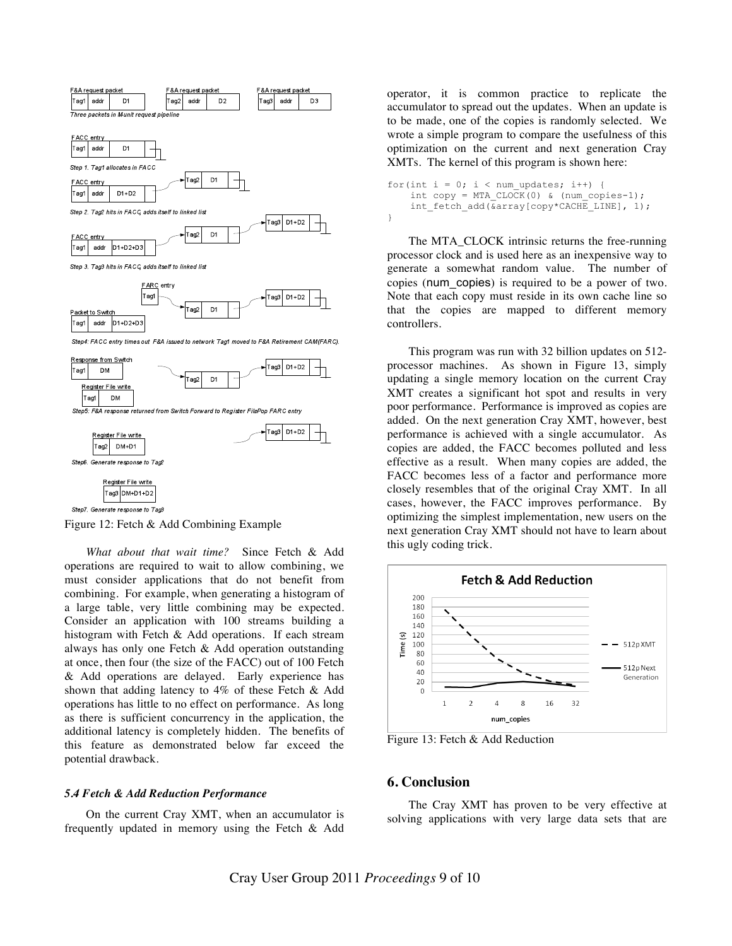

Step6. Generate response to Tag2



Figure 12: Fetch & Add Combining Example

*What about that wait time?* Since Fetch & Add operations are required to wait to allow combining, we must consider applications that do not benefit from combining. For example, when generating a histogram of a large table, very little combining may be expected. Consider an application with 100 streams building a histogram with Fetch & Add operations. If each stream always has only one Fetch & Add operation outstanding at once, then four (the size of the FACC) out of 100 Fetch & Add operations are delayed. Early experience has shown that adding latency to 4% of these Fetch & Add operations has little to no effect on performance. As long as there is sufficient concurrency in the application, the additional latency is completely hidden. The benefits of this feature as demonstrated below far exceed the potential drawback.

## *5.4 Fetch & Add Reduction Performance*

On the current Cray XMT, when an accumulator is frequently updated in memory using the Fetch & Add

operator, it is common practice to replicate the accumulator to spread out the updates. When an update is to be made, one of the copies is randomly selected. We wrote a simple program to compare the usefulness of this optimization on the current and next generation Cray XMTs. The kernel of this program is shown here:

```
for(int i = 0; i < num updates; i++) {
    int copy = MTA CLOCK(0) & (num copies-1);
    int fetch add(&array[copy*CACHE_LINE], 1);
}
```
The MTA\_CLOCK intrinsic returns the free-running processor clock and is used here as an inexpensive way to generate a somewhat random value. The number of copies (num\_copies) is required to be a power of two. Note that each copy must reside in its own cache line so that the copies are mapped to different memory controllers.

This program was run with 32 billion updates on 512 processor machines. As shown in Figure 13, simply updating a single memory location on the current Cray XMT creates a significant hot spot and results in very poor performance. Performance is improved as copies are added. On the next generation Cray XMT, however, best performance is achieved with a single accumulator. As copies are added, the FACC becomes polluted and less effective as a result. When many copies are added, the FACC becomes less of a factor and performance more closely resembles that of the original Cray XMT. In all cases, however, the FACC improves performance. By optimizing the simplest implementation, new users on the next generation Cray XMT should not have to learn about this ugly coding trick.



Figure 13: Fetch & Add Reduction

## **6. Conclusion**

The Cray XMT has proven to be very effective at solving applications with very large data sets that are